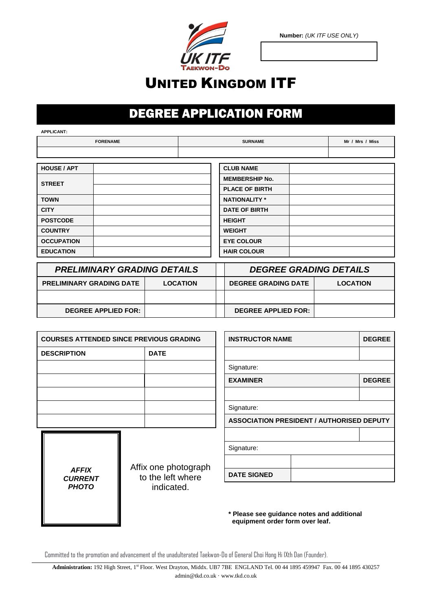

**Number:** *(UK ITF USE ONLY)*

## **®**UNITED KINGDOM ITF

## DEGREE APPLICATION FORM

**APPLICANT:**

| <b>FORENAME</b>    |  | <b>SURNAME</b> |                       | Mr / Mrs / Miss |  |
|--------------------|--|----------------|-----------------------|-----------------|--|
|                    |  |                |                       |                 |  |
|                    |  |                |                       |                 |  |
| <b>HOUSE / APT</b> |  |                | <b>CLUB NAME</b>      |                 |  |
| <b>STREET</b>      |  |                | <b>MEMBERSHIP No.</b> |                 |  |
|                    |  |                | <b>PLACE OF BIRTH</b> |                 |  |
| <b>TOWN</b>        |  |                | <b>NATIONALITY *</b>  |                 |  |
| <b>CITY</b>        |  |                | <b>DATE OF BIRTH</b>  |                 |  |
| <b>POSTCODE</b>    |  | <b>HEIGHT</b>  |                       |                 |  |
| <b>COUNTRY</b>     |  |                | <b>WEIGHT</b>         |                 |  |
| <b>OCCUPATION</b>  |  |                | <b>EYE COLOUR</b>     |                 |  |
| <b>EDUCATION</b>   |  |                | <b>HAIR COLOUR</b>    |                 |  |

| <b>PRELIMINARY GRADING DETAILS</b>                 |  |  | <b>DEGREE GRADING DETAILS</b> |                 |  |
|----------------------------------------------------|--|--|-------------------------------|-----------------|--|
| <b>PRELIMINARY GRADING DATE</b><br><b>LOCATION</b> |  |  | <b>DEGREE GRADING DATE</b>    | <b>LOCATION</b> |  |
|                                                    |  |  |                               |                 |  |
| <b>DEGREE APPLIED FOR:</b>                         |  |  | <b>DEGREE APPLIED FOR:</b>    |                 |  |

| <b>COURSES ATTENDED SINCE PREVIOUS GRADING</b> |             |                 | <b>INSTRUCTOR NAME</b> |                                                  | <b>DEGREE</b> |
|------------------------------------------------|-------------|-----------------|------------------------|--------------------------------------------------|---------------|
| <b>DESCRIPTION</b>                             | <b>DATE</b> |                 |                        |                                                  |               |
|                                                |             | Signature:      |                        |                                                  |               |
|                                                |             | <b>EXAMINER</b> |                        |                                                  | <b>DEGREE</b> |
|                                                |             |                 |                        |                                                  |               |
|                                                |             | Signature:      |                        |                                                  |               |
|                                                |             |                 |                        | <b>ASSOCIATION PRESIDENT / AUTHORISED DEPUTY</b> |               |
|                                                |             |                 |                        |                                                  |               |
|                                                |             |                 | Signature:             |                                                  |               |

**DATE SIGNED**

*AFFIX CURRENT PHOTO*

Affix one photograph to the left where indicated.

| * Please see guidance notes and additional |  |
|--------------------------------------------|--|
| equipment order form over leaf.            |  |

Committed to the promotion and advancement of the unadulterated Taekwon-Do of General Choi Hong Hi IXth Dan (Founder).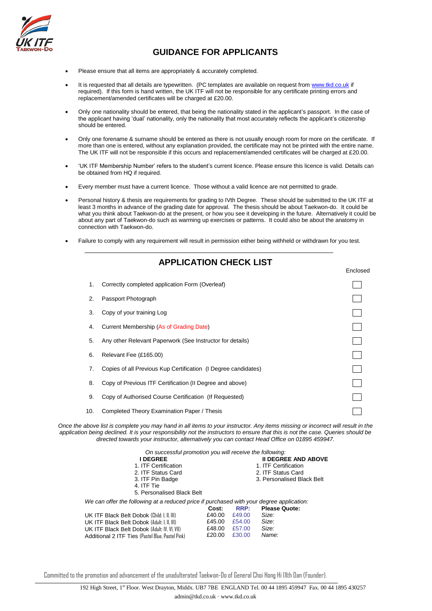

## **GUIDANCE FOR APPLICANTS**

- Please ensure that all items are appropriately & accurately completed.
- It is requested that all details are typewritten. (PC templates are available on request fro[m www.tkd.co.uk](http://www.tkd.co.uk/) if required). If this form is hand written, the UK ITF will not be responsible for any certificate printing errors and replacement/amended certificates will be charged at £20.00.
- Only one nationality should be entered, that being the nationality stated in the applicant's passport. In the case of the applicant having 'dual' nationality, only the nationality that most accurately reflects the applicant's citizenship should be entered.
- Only one forename & surname should be entered as there is not usually enough room for more on the certificate. If more than one is entered, without any explanation provided, the certificate may not be printed with the entire name. The UK ITF will not be responsible if this occurs and replacement/amended certificates will be charged at £20.00.
- 'UK ITF Membership Number' refers to the student's current licence. Please ensure this licence is valid. Details can be obtained from HQ if required.
- Every member must have a current licence. Those without a valid licence are not permitted to grade.
- Personal history & thesis are requirements for grading to IVth Degree. These should be submitted to the UK ITF at least 3 months in advance of the grading date for approval. The thesis should be about Taekwon-do. It could be what you think about Taekwon-do at the present, or how you see it developing in the future. Alternatively it could be about any part of Taekwon-do such as warming up exercises or patterns. It could also be about the anatomy in connection with Taekwon-do.
- Failure to comply with any requirement will result in permission either being withheld or withdrawn for you test.

**APPLICATION CHECK LIST**

|     | APPLICATION CHECK LIST                                         |          |
|-----|----------------------------------------------------------------|----------|
|     |                                                                | Enclosed |
| 1.  | Correctly completed application Form (Overleaf)                |          |
| 2.  | Passport Photograph                                            |          |
| 3.  | Copy of your training Log                                      |          |
| 4.  | Current Membership (As of Grading Date)                        |          |
| 5.  | Any other Relevant Paperwork (See Instructor for details)      |          |
| 6.  | Relevant Fee (£165.00)                                         |          |
| 7.  | Copies of all Previous Kup Certification (I Degree candidates) |          |
| 8.  | Copy of Previous ITF Certification (II Degree and above)       |          |
| 9.  | Copy of Authorised Course Certification (If Requested)         |          |
| 10. | Completed Theory Examination Paper / Thesis                    |          |
|     |                                                                |          |

*Once the above list is complete you may hand in all items to your instructor. Any items missing or incorrect will result in the application being declined. It is your responsibility not the instructors to ensure that this is not the case. Queries should be directed towards your instructor, alternatively you can contact Head Office on 01895 459947.*

| On successful promotion you will receive the following:                                  |        |        |                            |
|------------------------------------------------------------------------------------------|--------|--------|----------------------------|
| <b>I DEGREE</b>                                                                          |        |        | <b>II DEGREE AND ABOVE</b> |
| 1. ITF Certification                                                                     |        |        | 1. ITF Certification       |
| 2. ITF Status Card                                                                       |        |        | 2. ITF Status Card         |
| 3. ITF Pin Badge                                                                         |        |        | 3. Personalised Black Belt |
| 4. ITF Tie                                                                               |        |        |                            |
| 5. Personalised Black Belt                                                               |        |        |                            |
| We can offer the following at a reduced price if purchased with your degree application: |        |        |                            |
|                                                                                          | Cost:  | RRP:   | <b>Please Quote:</b>       |
| UK ITF Black Belt Dobok (Child: I. II. III)                                              | £40.00 | £49.00 | Size:                      |
| UK ITF Black Belt Dobok (Adult: I. II. III)                                              | £45.00 | £54.00 | Size:                      |
| UK ITF Black Belt Dobok (Adult: IV. VI. VII)                                             | £48.00 | £57.00 | Size:                      |
| Additional 2 ITF Ties (Pastel Blue, Pastel Pink)                                         | £20.00 | £30.00 | Name:                      |

Committed to the promotion and advancement of the unadulterated Taekwon-Do of General Choi Hong Hi IXth Dan (Founder).